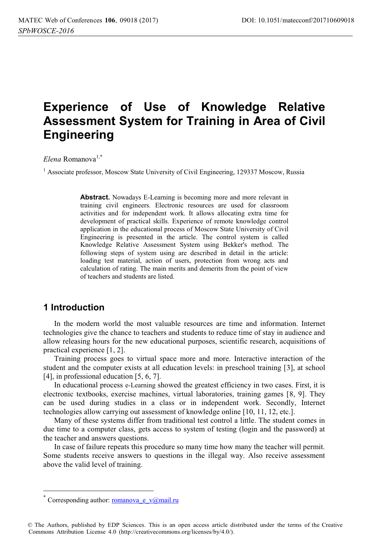# **Experience of Use of Knowledge Relative Assessment System for Training in Area of Civil Engineering**

*Elena* Romanova1,\*

<sup>1</sup> Associate professor, Moscow State University of Civil Engineering, 129337 Moscow, Russia

**Abstract.** Nowadays E-Learning is becoming more and more relevant in training civil engineers. Electronic resources are used for classroom activities and for independent work. It allows allocating extra time for development of practical skills. Experience of remote knowledge control application in the educational process of Moscow State University of Civil Engineering is presented in the article. The control system is called Knowledge Relative Assessment System using Bekker's method. The following steps of system using are described in detail in the article: loading test material, action of users, protection from wrong acts and calculation of rating. The main merits and demerits from the point of view of teachers and students are listed.

## **1 Introduction**

 $\overline{a}$ 

In the modern world the most valuable resources are time and information. Internet technologies give the chance to teachers and students to reduce time of stay in audience and allow releasing hours for the new educational purposes, scientific research, acquisitions of practical experience [1, 2].

Training process goes to virtual space more and more. Interactive interaction of the student and the computer exists at all education levels: in preschool training [3], at school [4], in professional education [5, 6, 7].

In educational process e-Learning showed the greatest efficiency in two cases. First, it is electronic textbooks, exercise machines, virtual laboratories, training games [8, 9]. They can be used during studies in a class or in independent work. Secondly, Internet technologies allow carrying out assessment of knowledge online [10, 11, 12, etc.].

Many of these systems differ from traditional test control a little. The student comes in due time to a computer class, gets access to system of testing (login and the password) at the teacher and answers questions.

In case of failure repeats this procedure so many time how many the teacher will permit. Some students receive answers to questions in the illegal way. Also receive assessment above the valid level of training.

Corresponding author: romanova e v $\omega$ mail.ru

<sup>©</sup> The Authors, published by EDP Sciences. This is an open access article distributed under the terms of the Creative Commons Attribution License 4.0 (http://creativecommons.org/licenses/by/4.0/).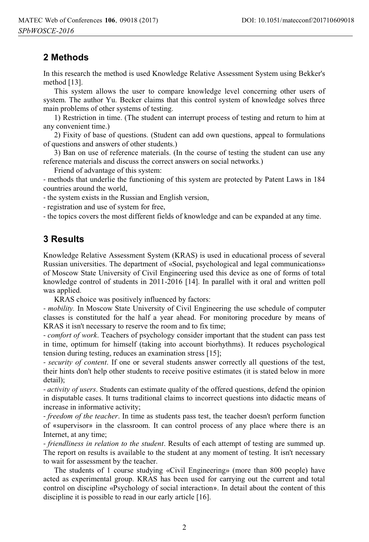# **2 Methods**

In this research the method is used Knowledge Relative Assessment System using Bekker's method [13].

This system allows the user to compare knowledge level concerning other users of system. The author Yu. Becker claims that this control system of knowledge solves three main problems of other systems of testing.

1) Restriction in time. (The student can interrupt process of testing and return to him at any convenient time.)

2) Fixity of base of questions. (Student can add own questions, appeal to formulations of questions and answers of other students.)

3) Ban on use of reference materials. (In the course of testing the student can use any reference materials and discuss the correct answers on social networks.)

Friend of advantage of this system:

- methods that underlie the functioning of this system are protected by Patent Laws in 184 countries around the world,

- the system exists in the Russian and English version,

- registration and use of system for free,

- the topics covers the most different fields of knowledge and can be expanded at any time.

### **3 Results**

Knowledge Relative Assessment System (KRAS) is used in educational process of several Russian universities. The department of «Social, psychological and legal communications» of Moscow State University of Civil Engineering used this device as one of forms of total knowledge control of students in 2011-2016 [14]. In parallel with it oral and written poll was applied.

KRAS choice was positively influenced by factors:

*- mobility.* In Moscow State University of Civil Engineering the use schedule of computer classes is constituted for the half a year ahead. For monitoring procedure by means of KRAS it isn't necessary to reserve the room and to fix time;

*- comfort of work*. Teachers of psychology consider important that the student can pass test in time, optimum for himself (taking into account biorhythms). It reduces psychological tension during testing, reduces an examination stress [15];

*- security of content*. If one or several students answer correctly all questions of the test, their hints don't help other students to receive positive estimates (it is stated below in more detail);

*- activity of users*. Students can estimate quality of the offered questions, defend the opinion in disputable cases. It turns traditional claims to incorrect questions into didactic means of increase in informative activity;

*- freedom of the teacher*. In time as students pass test, the teacher doesn't perform function of «supervisor» in the classroom. It can control process of any place where there is an Internet, at any time;

*- friendliness in relation to the student*. Results of each attempt of testing are summed up. The report on results is available to the student at any moment of testing. It isn't necessary to wait for assessment by the teacher.

The students of 1 course studying «Civil Engineering» (more than 800 people) have acted as experimental group. KRAS has been used for carrying out the current and total control on discipline «Psychology of social interaction». In detail about the content of this discipline it is possible to read in our early article [16].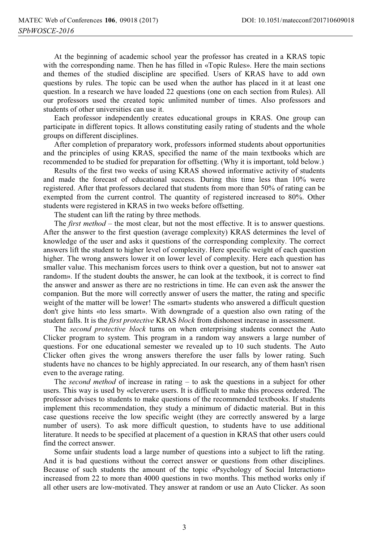At the beginning of academic school year the professor has created in a KRAS topic with the corresponding name. Then he has filled in «Topic Rules». Here the main sections and themes of the studied discipline are specified. Users of KRAS have to add own questions by rules. The topic can be used when the author has placed in it at least one question. In a research we have loaded 22 questions (one on each section from Rules). All our professors used the created topic unlimited number of times. Also professors and students of other universities can use it.

Each professor independently creates educational groups in KRAS. One group can participate in different topics. It allows constituting easily rating of students and the whole groups on different disciplines.

After completion of preparatory work, professors informed students about opportunities and the principles of using KRAS, specified the name of the main textbooks which are recommended to be studied for preparation for offsetting. (Why it is important, told below.)

Results of the first two weeks of using KRAS showed informative activity of students and made the forecast of educational success. During this time less than 10% were registered. After that professors declared that students from more than 50% of rating can be exempted from the current control. The quantity of registered increased to 80%. Other students were registered in KRAS in two weeks before offsetting.

The student can lift the rating by three methods.

The *first method* – the most clear, but not the most effective. It is to answer questions. After the answer to the first question (average complexity) KRAS determines the level of knowledge of the user and asks it questions of the corresponding complexity. The correct answers lift the student to higher level of complexity. Here specific weight of each question higher. The wrong answers lower it on lower level of complexity. Here each question has smaller value. This mechanism forces users to think over a question, but not to answer «at random». If the student doubts the answer, he can look at the textbook, it is correct to find the answer and answer as there are no restrictions in time. He can even ask the answer the companion. But the more will correctly answer of users the matter, the rating and specific weight of the matter will be lower! The «smart» students who answered a difficult question don't give hints «to less smart». With downgrade of a question also own rating of the student falls. It is the *first protective* KRAS *block* from dishonest increase in assessment.

The *second protective block* turns on when enterprising students connect the Auto Clicker program to system. This program in a random way answers a large number of questions. For one educational semester we revealed up to 10 such students. The Auto Clicker often gives the wrong answers therefore the user falls by lower rating. Such students have no chances to be highly appreciated. In our research, any of them hasn't risen even to the average rating.

The *second method* of increase in rating – to ask the questions in a subject for other users. This way is used by «cleverer» users. It is difficult to make this process ordered. The professor advises to students to make questions of the recommended textbooks. If students implement this recommendation, they study a minimum of didactic material. But in this case questions receive the low specific weight (they are correctly answered by a large number of users). To ask more difficult question, to students have to use additional literature. It needs to be specified at placement of a question in KRAS that other users could find the correct answer.

Some unfair students load a large number of questions into a subject to lift the rating. And it is bad questions without the correct answer or questions from other disciplines. Because of such students the amount of the topic «Psychology of Social Interaction» increased from 22 to more than 4000 questions in two months. This method works only if all other users are low-motivated. They answer at random or use an Auto Clicker. As soon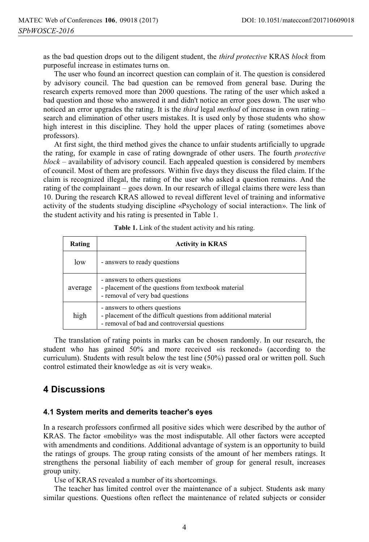as the bad question drops out to the diligent student, the *third protective* KRAS *block* from purposeful increase in estimates turns on.

The user who found an incorrect question can complain of it. The question is considered by advisory council. The bad question can be removed from general base. During the research experts removed more than 2000 questions. The rating of the user which asked a bad question and those who answered it and didn't notice an error goes down. The user who noticed an error upgrades the rating. It is the *third* legal *method* of increase in own rating – search and elimination of other users mistakes. It is used only by those students who show high interest in this discipline. They hold the upper places of rating (sometimes above professors).

At first sight, the third method gives the chance to unfair students artificially to upgrade the rating, for example in case of rating downgrade of other users. The fourth *protective block* – availability of advisory council. Each appealed question is considered by members of council. Most of them are professors. Within five days they discuss the filed claim. If the claim is recognized illegal, the rating of the user who asked a question remains. And the rating of the complainant – goes down. In our research of illegal claims there were less than 10. During the research KRAS allowed to reveal different level of training and informative activity of the students studying discipline «Psychology of social interaction». The link of the student activity and his rating is presented in Table 1.

| Rating  | <b>Activity in KRAS</b>                                                                                                                          |  |
|---------|--------------------------------------------------------------------------------------------------------------------------------------------------|--|
| low     | - answers to ready questions                                                                                                                     |  |
| average | - answers to others questions<br>- placement of the questions from textbook material<br>- removal of very bad questions                          |  |
| high    | - answers to others questions<br>- placement of the difficult questions from additional material<br>- removal of bad and controversial questions |  |

| <b>Table 1.</b> Link of the student activity and his rating. |  |
|--------------------------------------------------------------|--|
|                                                              |  |

The translation of rating points in marks can be chosen randomly. In our research, the student who has gained 50% and more received «is reckoned» (according to the curriculum). Students with result below the test line (50%) passed oral or written poll. Such control estimated their knowledge as «it is very weak».

### **4 Discussions**

#### **4.1 System merits and demerits teacher's eyes**

In a research professors confirmed all positive sides which were described by the author of KRAS. The factor «mobility» was the most indisputable. All other factors were accepted with amendments and conditions. Additional advantage of system is an opportunity to build the ratings of groups. The group rating consists of the amount of her members ratings. It strengthens the personal liability of each member of group for general result, increases group unity.

Use of KRAS revealed a number of its shortcomings.

The teacher has limited control over the maintenance of a subject. Students ask many similar questions. Questions often reflect the maintenance of related subjects or consider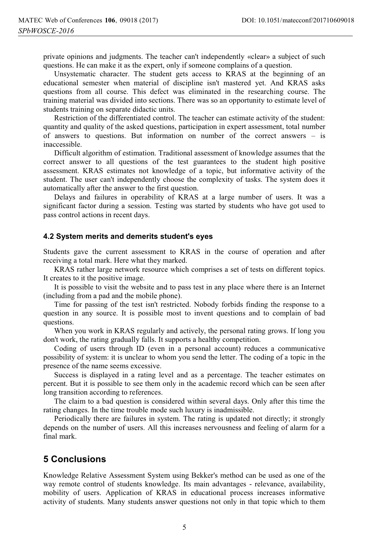private opinions and judgments. The teacher can't independently «clear» a subject of such questions. He can make it as the expert, only if someone complains of a question.

Unsystematic character. The student gets access to KRAS at the beginning of an educational semester when material of discipline isn't mastered yet. And KRAS asks questions from all course. This defect was eliminated in the researching course. The training material was divided into sections. There was so an opportunity to estimate level of students training on separate didactic units.

Restriction of the differentiated control. The teacher can estimate activity of the student: quantity and quality of the asked questions, participation in expert assessment, total number of answers to questions. But information on number of the correct answers – is inaccessible.

Difficult algorithm of estimation. Traditional assessment of knowledge assumes that the correct answer to all questions of the test guarantees to the student high positive assessment. KRAS estimates not knowledge of a topic, but informative activity of the student. The user can't independently choose the complexity of tasks. The system does it automatically after the answer to the first question.

Delays and failures in operability of KRAS at a large number of users. It was a significant factor during a session. Testing was started by students who have got used to pass control actions in recent days.

#### **4.2 System merits and demerits student's eyes**

Students gave the current assessment to KRAS in the course of operation and after receiving a total mark. Here what they marked.

KRAS rather large network resource which comprises a set of tests on different topics. It creates to it the positive image.

It is possible to visit the website and to pass test in any place where there is an Internet (including from a pad and the mobile phone).

Time for passing of the test isn't restricted. Nobody forbids finding the response to a question in any source. It is possible most to invent questions and to complain of bad questions.

When you work in KRAS regularly and actively, the personal rating grows. If long you don't work, the rating gradually falls. It supports a healthy competition.

Coding of users through ID (even in a personal account) reduces a communicative possibility of system: it is unclear to whom you send the letter. The coding of a topic in the presence of the name seems excessive.

Success is displayed in a rating level and as a percentage. The teacher estimates on percent. But it is possible to see them only in the academic record which can be seen after long transition according to references.

The claim to a bad question is considered within several days. Only after this time the rating changes. In the time trouble mode such luxury is inadmissible.

Periodically there are failures in system. The rating is updated not directly; it strongly depends on the number of users. All this increases nervousness and feeling of alarm for a final mark.

### **5 Conclusions**

Knowledge Relative Assessment System using Bekker's method can be used as one of the way remote control of students knowledge. Its main advantages - relevance, availability, mobility of users. Application of KRAS in educational process increases informative activity of students. Many students answer questions not only in that topic which to them